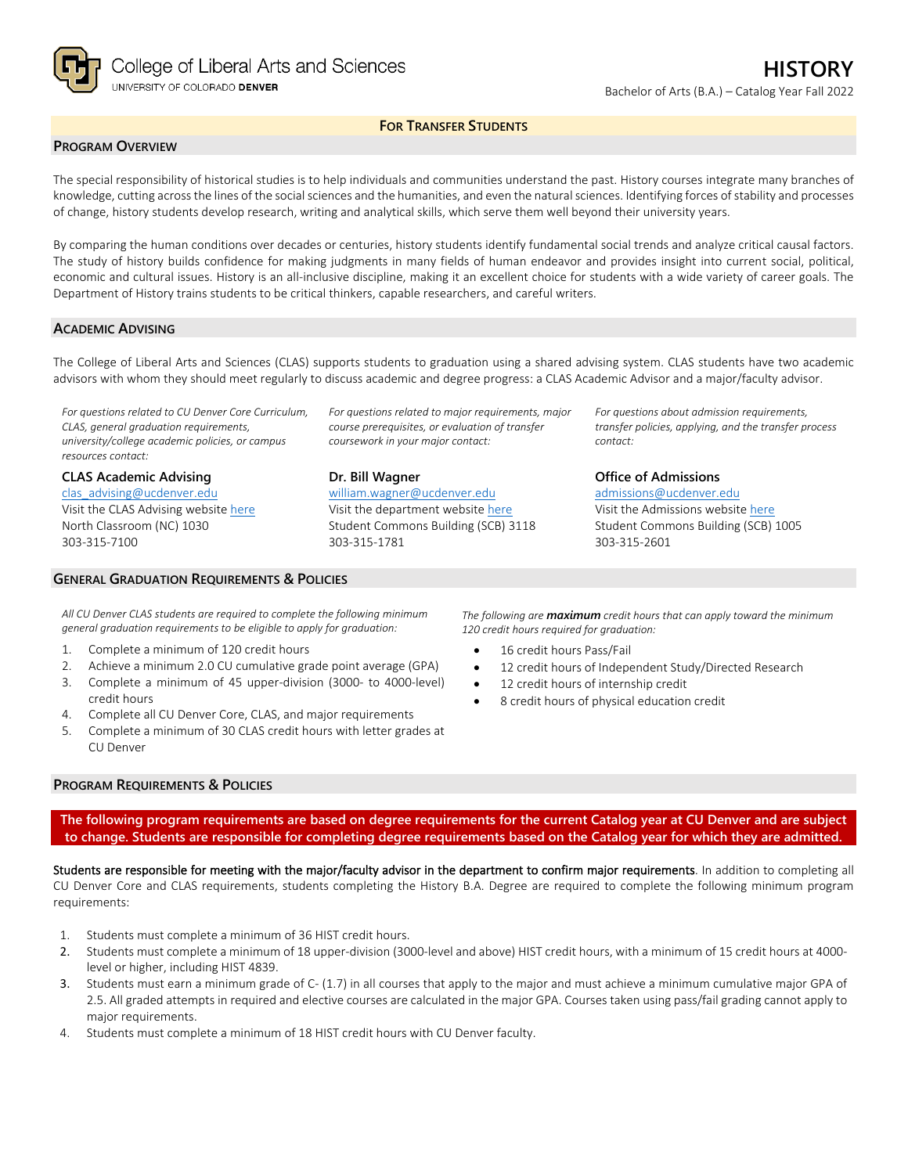

## **FOR TRANSFER STUDENTS**

## **PROGRAM OVERVIEW**

The special responsibility of historical studies is to help individuals and communities understand the past. History courses integrate many branches of knowledge, cutting across the lines of the social sciences and the humanities, and even the natural sciences. Identifying forces of stability and processes of change, history students develop research, writing and analytical skills, which serve them well beyond their university years.

By comparing the human conditions over decades or centuries, history students identify fundamental social trends and analyze critical causal factors. The study of history builds confidence for making judgments in many fields of human endeavor and provides insight into current social, political, economic and cultural issues. History is an all-inclusive discipline, making it an excellent choice for students with a wide variety of career goals. The Department of History trains students to be critical thinkers, capable researchers, and careful writers.

### **ACADEMIC ADVISING**

The College of Liberal Arts and Sciences (CLAS) supports students to graduation using a shared advising system. CLAS students have two academic advisors with whom they should meet regularly to discuss academic and degree progress: a CLAS Academic Advisor and a major/faculty advisor.

*For questions related to CU Denver Core Curriculum, CLAS, general graduation requirements, university/college academic policies, or campus resources contact:*

**CLAS Academic Advising** [clas\\_advising@ucdenver.edu](mailto:clas_advising@ucdenver.edu) Visit the CLAS Advising websit[e here](https://clas.ucdenver.edu/advising/) North Classroom (NC) 1030 303-315-7100

## **GENERAL GRADUATION REQUIREMENTS & POLICIES**

*For questions related to major requirements, major course prerequisites, or evaluation of transfer coursework in your major contact:*

#### **Dr. Bill Wagner**

[william.wagner@ucdenver.edu](mailto:william.wagner@ucdenver.edu) Visit the department website [here](https://clas.ucdenver.edu/history/) Student Commons Building (SCB) 3118 303-315-1781

*For questions about admission requirements, transfer policies, applying, and the transfer process contact:*

**Office of Admissions** [admissions@ucdenver.edu](mailto:admissions@ucdenver.edu) Visit the Admissions website [here](http://www.ucdenver.edu/admissions/Pages/index.aspx) Student Commons Building (SCB) 1005 303-315-2601

*All CU Denver CLAS students are required to complete the following minimum general graduation requirements to be eligible to apply for graduation:*

- 1. Complete a minimum of 120 credit hours
- 2. Achieve a minimum 2.0 CU cumulative grade point average (GPA)
- 3. Complete a minimum of 45 upper-division (3000- to 4000-level) credit hours
- 4. Complete all CU Denver Core, CLAS, and major requirements
- 5. Complete a minimum of 30 CLAS credit hours with letter grades at CU Denver

*The following are maximum credit hours that can apply toward the minimum 120 credit hours required for graduation:*

- 16 credit hours Pass/Fail
- 12 credit hours of Independent Study/Directed Research
- 12 credit hours of internship credit
- 8 credit hours of physical education credit

## **PROGRAM REQUIREMENTS & POLICIES**

**The following program requirements are based on degree requirements for the current Catalog year at CU Denver and are subject to change. Students are responsible for completing degree requirements based on the Catalog year for which they are admitted.**

Students are responsible for meeting with the major/faculty advisor in the department to confirm major requirements. In addition to completing all CU Denver Core and CLAS requirements, students completing the History B.A. Degree are required to complete the following minimum program requirements:

- 1. Students must complete a minimum of 36 HIST credit hours.
- 2. Students must complete a minimum of 18 upper-division (3000-level and above) HIST credit hours, with a minimum of 15 credit hours at 4000 level or higher, including HIST 4839.
- 3. Students must earn a minimum grade of C- (1.7) in all courses that apply to the major and must achieve a minimum cumulative major GPA of 2.5. All graded attempts in required and elective courses are calculated in the major GPA. Courses taken using pass/fail grading cannot apply to major requirements.
- 4. Students must complete a minimum of 18 HIST credit hours with CU Denver faculty.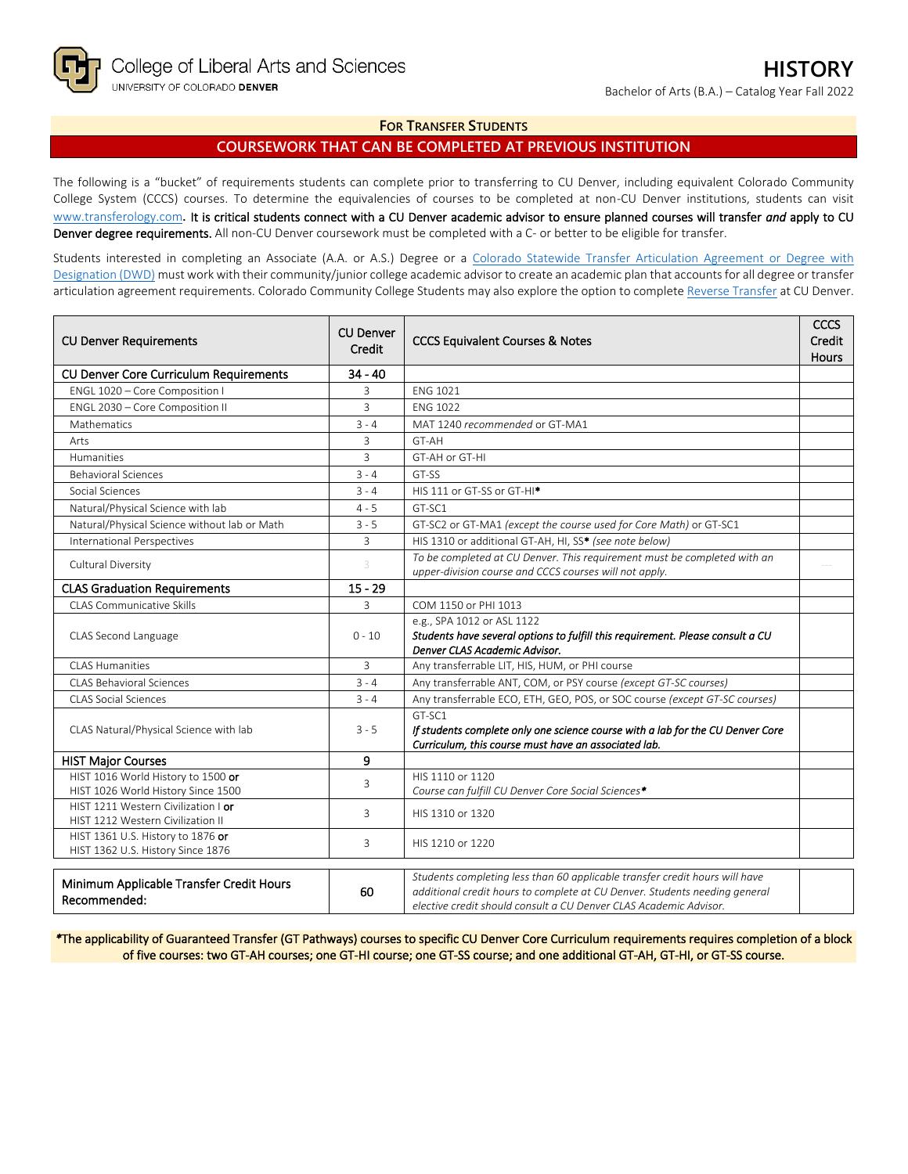## **FOR TRANSFER STUDENTS**

# **COURSEWORK THAT CAN BE COMPLETED AT PREVIOUS INSTITUTION**

The following is a "bucket" of requirements students can complete prior to transferring to CU Denver, including equivalent Colorado Community College System (CCCS) courses. To determine the equivalencies of courses to be completed at non-CU Denver institutions, students can visit [www.transferology.com](http://www.transferology.com/)**.** It is critical students connect with a CU Denver academic advisor to ensure planned courses will transfer *and* apply to CU Denver degree requirements. All non-CU Denver coursework must be completed with a C- or better to be eligible for transfer.

Students interested in completing an Associate (A.A. or A.S.) Degree or a Colorado Statewide Transfer Articulation Agreement or Degree with [Designation \(DWD\)](https://highered.colorado.gov/transfer-degrees) must work with their community/junior college academic advisor to create an academic plan that accounts for all degree or transfer articulation agreement requirements. Colorado Community College Students may also explore the option to complet[e Reverse Transfer](https://highered.colorado.gov/students/attending-college/colorado-reverse-transfer) at CU Denver.

| <b>CU Denver Requirements</b>                                            | <b>CU Denver</b><br>Credit | <b>CCCS Equivalent Courses &amp; Notes</b>                                                                                                                                                                                     | CCCS<br>Credit<br><b>Hours</b> |
|--------------------------------------------------------------------------|----------------------------|--------------------------------------------------------------------------------------------------------------------------------------------------------------------------------------------------------------------------------|--------------------------------|
| CU Denver Core Curriculum Requirements                                   | $34 - 40$                  |                                                                                                                                                                                                                                |                                |
| ENGL 1020 - Core Composition I                                           | 3                          | <b>ENG 1021</b>                                                                                                                                                                                                                |                                |
| ENGL 2030 - Core Composition II                                          | $\overline{3}$             | <b>FNG 1022</b>                                                                                                                                                                                                                |                                |
| Mathematics                                                              | $3 - 4$                    | MAT 1240 recommended or GT-MA1                                                                                                                                                                                                 |                                |
| Arts                                                                     | 3                          | GT-AH                                                                                                                                                                                                                          |                                |
| Humanities                                                               | 3                          | GT-AH or GT-HI                                                                                                                                                                                                                 |                                |
| <b>Behavioral Sciences</b>                                               | $3 - 4$                    | GT-SS                                                                                                                                                                                                                          |                                |
| Social Sciences                                                          | $3 - 4$                    | HIS 111 or GT-SS or GT-HI*                                                                                                                                                                                                     |                                |
| Natural/Physical Science with lab                                        | $4 - 5$                    | GT-SC1                                                                                                                                                                                                                         |                                |
| Natural/Physical Science without lab or Math                             | $3 - 5$                    | GT-SC2 or GT-MA1 (except the course used for Core Math) or GT-SC1                                                                                                                                                              |                                |
| <b>International Perspectives</b>                                        | 3                          | HIS 1310 or additional GT-AH, HI, SS* (see note below)                                                                                                                                                                         |                                |
| Cultural Diversity                                                       | 3                          | To be completed at CU Denver. This requirement must be completed with an<br>upper-division course and CCCS courses will not apply.                                                                                             |                                |
| <b>CLAS Graduation Requirements</b>                                      | $15 - 29$                  |                                                                                                                                                                                                                                |                                |
| <b>CLAS Communicative Skills</b>                                         | 3                          | COM 1150 or PHI 1013                                                                                                                                                                                                           |                                |
| CLAS Second Language                                                     | $0 - 10$                   | e.g., SPA 1012 or ASL 1122<br>Students have several options to fulfill this requirement. Please consult a CU<br>Denver CLAS Academic Advisor.                                                                                  |                                |
| <b>CLAS Humanities</b>                                                   | $\overline{3}$             | Any transferrable LIT, HIS, HUM, or PHI course                                                                                                                                                                                 |                                |
| CLAS Behavioral Sciences                                                 | $3 - 4$                    | Any transferrable ANT, COM, or PSY course (except GT-SC courses)                                                                                                                                                               |                                |
| <b>CLAS Social Sciences</b>                                              | $3 - 4$                    | Any transferrable ECO, ETH, GEO, POS, or SOC course (except GT-SC courses)                                                                                                                                                     |                                |
| CLAS Natural/Physical Science with lab                                   | $3 - 5$                    | GT-SC1<br>If students complete only one science course with a lab for the CU Denver Core<br>Curriculum, this course must have an associated lab.                                                                               |                                |
| <b>HIST Major Courses</b>                                                | 9                          |                                                                                                                                                                                                                                |                                |
| HIST 1016 World History to 1500 or<br>HIST 1026 World History Since 1500 | 3                          | HIS 1110 or 1120<br>Course can fulfill CU Denver Core Social Sciences*                                                                                                                                                         |                                |
| HIST 1211 Western Civilization   or<br>HIST 1212 Western Civilization II | 3                          | HIS 1310 or 1320                                                                                                                                                                                                               |                                |
| HIST 1361 U.S. History to 1876 or<br>HIST 1362 U.S. History Since 1876   | 3                          | HIS 1210 or 1220                                                                                                                                                                                                               |                                |
| Minimum Applicable Transfer Credit Hours<br>60<br>Recommended:           |                            | Students completing less than 60 applicable transfer credit hours will have<br>additional credit hours to complete at CU Denver. Students needing general<br>elective credit should consult a CU Denver CLAS Academic Advisor. |                                |

*\**The applicability of Guaranteed Transfer (GT Pathways) courses to specific CU Denver Core Curriculum requirements requires completion of a block of five courses: two GT-AH courses; one GT-HI course; one GT-SS course; and one additional GT-AH, GT-HI, or GT-SS course.